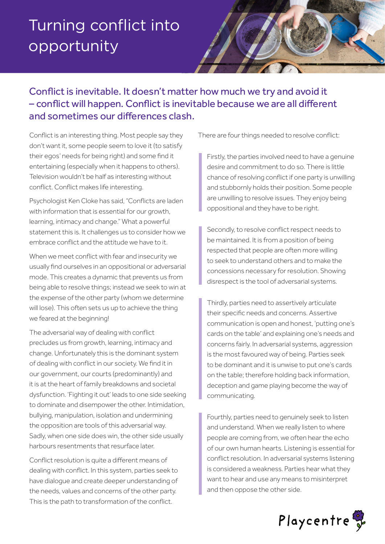## Turning conflict into opportunity



## Conflict is inevitable. It doesn't matter how much we try and avoid it – conflict will happen. Conflict is inevitable because we are all different and sometimes our differences clash.

Conflict is an interesting thing. Most people say they don't want it, some people seem to love it (to satisfy their egos' needs for being right) and some find it entertaining (especially when it happens to others). Television wouldn't be half as interesting without conflict. Conflict makes life interesting.

Psychologist Ken Cloke has said, "Conflicts are laden with information that is essential for our growth, learning, intimacy and change." What a powerful statement this is. It challenges us to consider how we embrace conflict and the attitude we have to it.

When we meet conflict with fear and insecurity we usually find ourselves in an oppositional or adversarial mode. This creates a dynamic that prevents us from being able to resolve things; instead we seek to win at the expense of the other party (whom we determine will lose). This often sets us up to achieve the thing we feared at the beginning!

The adversarial way of dealing with conflict precludes us from growth, learning, intimacy and change. Unfortunately this is the dominant system of dealing with conflict in our society. We find it in our government, our courts (predominantly) and it is at the heart of family breakdowns and societal dysfunction. 'Fighting it out' leads to one side seeking to dominate and disempower the other. Intimidation, bullying, manipulation, isolation and undermining the opposition are tools of this adversarial way. Sadly, when one side does win, the other side usually harbours resentments that resurface later.

Conflict resolution is quite a different means of dealing with conflict. In this system, parties seek to have dialogue and create deeper understanding of the needs, values and concerns of the other party. This is the path to transformation of the conflict.

There are four things needed to resolve conflict:

Firstly, the parties involved need to have a genuine desire and commitment to do so. There is little chance of resolving conflict if one party is unwilling and stubbornly holds their position. Some people are unwilling to resolve issues. They enjoy being oppositional and they have to be right.

Secondly, to resolve conflict respect needs to be maintained. It is from a position of being respected that people are often more willing to seek to understand others and to make the concessions necessary for resolution. Showing disrespect is the tool of adversarial systems.

Thirdly, parties need to assertively articulate their specific needs and concerns. Assertive communication is open and honest, 'putting one's cards on the table' and explaining one's needs and concerns fairly. In adversarial systems, aggression is the most favoured way of being. Parties seek to be dominant and it is unwise to put one's cards on the table; therefore holding back information, deception and game playing become the way of communicating.

Fourthly, parties need to genuinely seek to listen and understand. When we really listen to where people are coming from, we often hear the echo of our own human hearts. Listening is essential for conflict resolution. In adversarial systems listening is considered a weakness. Parties hear what they want to hear and use any means to misinterpret and then oppose the other side.